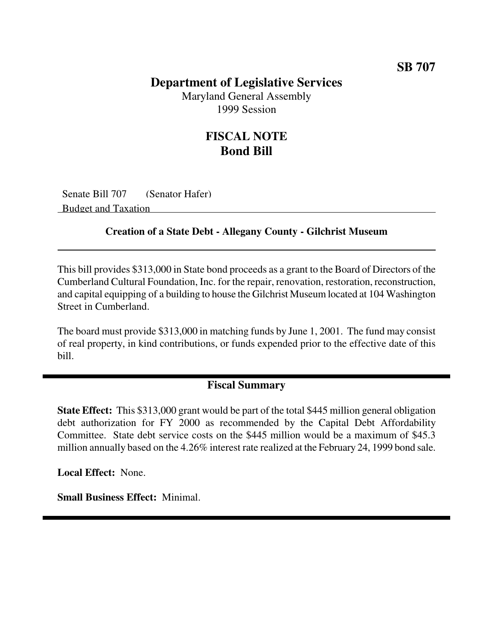### **Department of Legislative Services**

Maryland General Assembly 1999 Session

## **FISCAL NOTE Bond Bill**

Senate Bill 707 (Senator Hafer) Budget and Taxation

#### **Creation of a State Debt - Allegany County - Gilchrist Museum**

This bill provides \$313,000 in State bond proceeds as a grant to the Board of Directors of the Cumberland Cultural Foundation, Inc. for the repair, renovation, restoration, reconstruction, and capital equipping of a building to house the Gilchrist Museum located at 104 Washington Street in Cumberland.

The board must provide \$313,000 in matching funds by June 1, 2001. The fund may consist of real property, in kind contributions, or funds expended prior to the effective date of this bill.

#### **Fiscal Summary**

**State Effect:** This \$313,000 grant would be part of the total \$445 million general obligation debt authorization for FY 2000 as recommended by the Capital Debt Affordability Committee. State debt service costs on the \$445 million would be a maximum of \$45.3 million annually based on the 4.26% interest rate realized at the February 24, 1999 bond sale.

**Local Effect:** None.

**Small Business Effect:** Minimal.